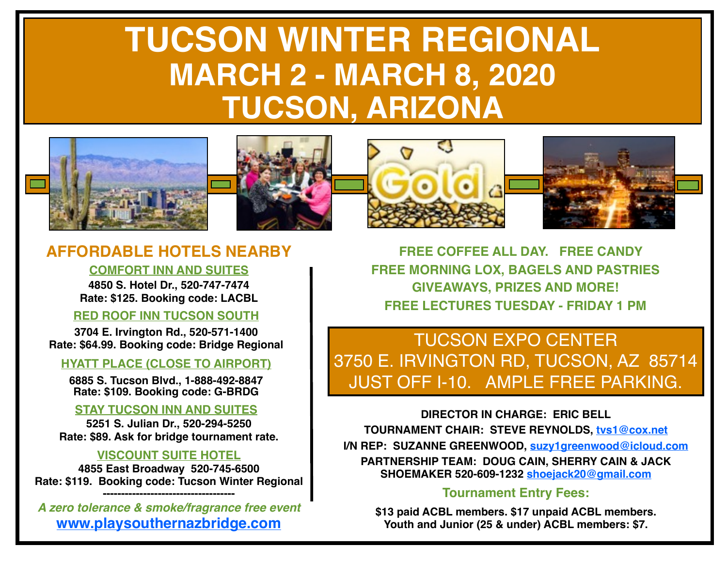# **TUCSON WINTER REGIONAL MARCH 2 - MARCH 8, 2020 TUCSON, ARIZONA**









## **AFFORDABLE HOTELS NEARBY**

#### **COMFORT INN AND SUITES**

**4850 S. Hotel Dr., 520-747-7474 Rate: \$125. Booking code: LACBL**

## **RED ROOF INN TUCSON SOUTH**

**3704 E. Irvington Rd., 520-571-1400 Rate: \$64.99. Booking code: Bridge Regional**

## **HYATT PLACE (CLOSE TO AIRPORT)**

**6885 S. Tucson Blvd., 1-888-492-8847 Rate: \$109. Booking code: G-BRDG**

## **STAY TUCSON INN AND SUITES**

**5251 S. Julian Dr., 520-294-5250 Rate: \$89. Ask for bridge tournament rate.**

## **VISCOUNT SUITE HOTEL**

**4855 East Broadway 520-745-6500 Rate: \$119. Booking code: Tucson Winter Regional ------------------------------------**

*A zero tolerance & smoke/fragrance free event* **[www.playsouthernazbridge.com](http://www.playsouthernazbridge.com)**

 **FREE COFFEE ALL DAY. FREE CANDY FREE MORNING LOX, BAGELS AND PASTRIES GIVEAWAYS, PRIZES AND MORE! FREE LECTURES TUESDAY - FRIDAY 1 PM**

TUCSON EXPO CENTER 3750 E. IRVINGTON RD, TUCSON, AZ 85714 JUST OFF I-10. AMPLE FREE PARKING.

**DIRECTOR IN CHARGE: ERIC BELL TOURNAMENT CHAIR: STEVE REYNOLDS, [tvs1@cox.net](mailto:tvs1@cox.net) I/N REP: SUZANNE GREENWOOD, [suzy1greenwood@icloud.com](mailto:suzy1greenwood@icloud.com) PARTNERSHIP TEAM: DOUG CAIN, SHERRY CAIN & JACK SHOEMAKER 520-609-1232 [shoejack20@gmail.com](mailto:shoejack20@gmail.com)**

## **Tournament Entry Fees:**

**\$13 paid ACBL members. \$17 unpaid ACBL members. Youth and Junior (25 & under) ACBL members: \$7.**